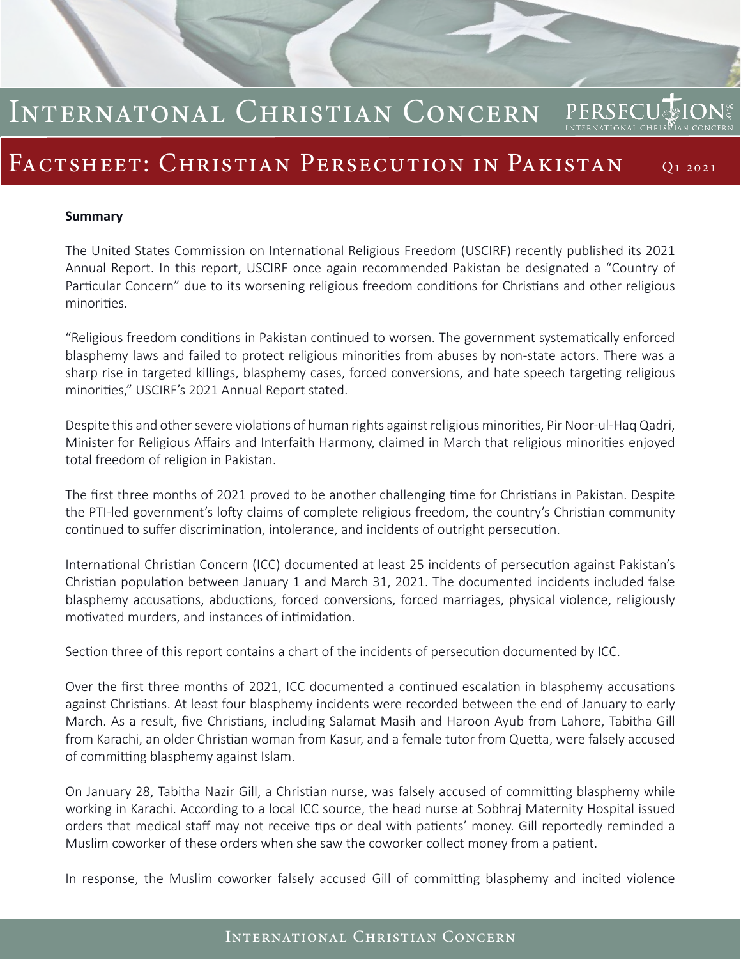# Internatonal Christian Concern

## FACTSHEET: CHRISTIAN PERSECUTION IN PAKISTAN Q1 2021

#### **Summary**

The United States Commission on International Religious Freedom (USCIRF) recently published its 2021 Annual Report. In this report, USCIRF once again recommended Pakistan be designated a "Country of Particular Concern" due to its worsening religious freedom conditions for Christians and other religious minorities.

"Religious freedom conditions in Pakistan continued to worsen. The government systematically enforced blasphemy laws and failed to protect religious minorities from abuses by non-state actors. There was a sharp rise in targeted killings, blasphemy cases, forced conversions, and hate speech targeting religious minorities," USCIRF's 2021 Annual Report stated.

Despite this and other severe violations of human rights against religious minorities, Pir Noor-ul-Haq Qadri, Minister for Religious Affairs and Interfaith Harmony, claimed in March that religious minorities enjoyed total freedom of religion in Pakistan.

The first three months of 2021 proved to be another challenging time for Christians in Pakistan. Despite the PTI-led government's lofty claims of complete religious freedom, the country's Christian community continued to suffer discrimination, intolerance, and incidents of outright persecution.

International Christian Concern (ICC) documented at least 25 incidents of persecution against Pakistan's Christian population between January 1 and March 31, 2021. The documented incidents included false blasphemy accusations, abductions, forced conversions, forced marriages, physical violence, religiously motivated murders, and instances of intimidation.

Section three of this report contains a chart of the incidents of persecution documented by ICC.

Over the first three months of 2021, ICC documented a continued escalation in blasphemy accusations against Christians. At least four blasphemy incidents were recorded between the end of January to early March. As a result, five Christians, including Salamat Masih and Haroon Ayub from Lahore, Tabitha Gill from Karachi, an older Christian woman from Kasur, and a female tutor from Quetta, were falsely accused of committing blasphemy against Islam.

On January 28, Tabitha Nazir Gill, a Christian nurse, was falsely accused of committing blasphemy while working in Karachi. According to a local ICC source, the head nurse at Sobhraj Maternity Hospital issued orders that medical staff may not receive tips or deal with patients' money. Gill reportedly reminded a Muslim coworker of these orders when she saw the coworker collect money from a patient.

In response, the Muslim coworker falsely accused Gill of committing blasphemy and incited violence

International Christian Concern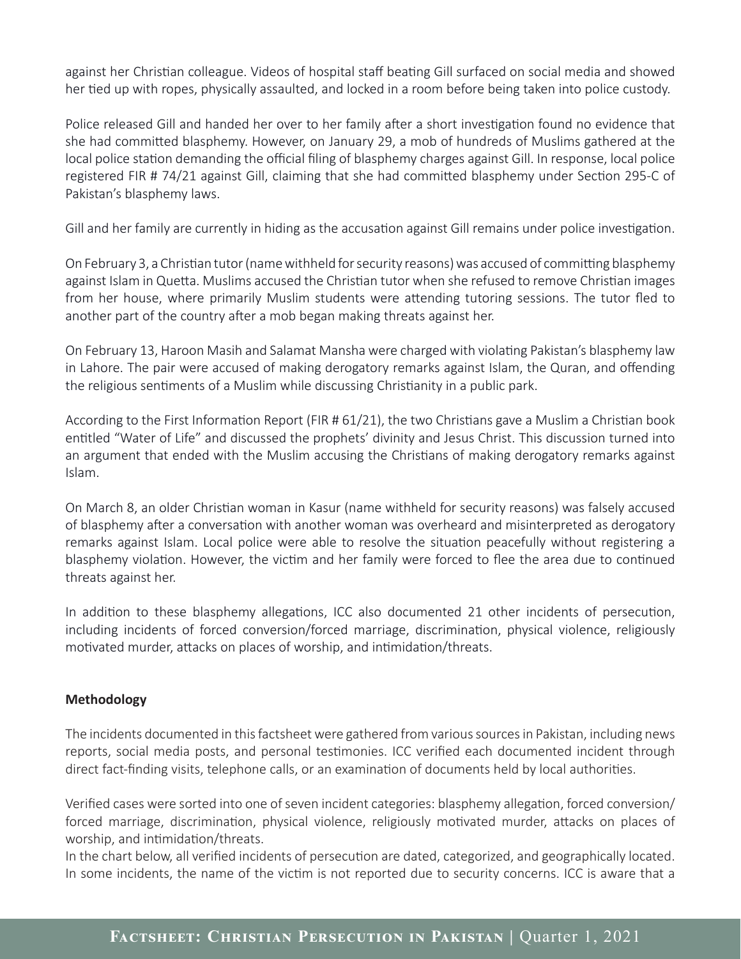against her Christian colleague. Videos of hospital staff beating Gill surfaced on social media and showed her tied up with ropes, physically assaulted, and locked in a room before being taken into police custody.

Police released Gill and handed her over to her family after a short investigation found no evidence that she had committed blasphemy. However, on January 29, a mob of hundreds of Muslims gathered at the local police station demanding the official filing of blasphemy charges against Gill. In response, local police registered FIR # 74/21 against Gill, claiming that she had committed blasphemy under Section 295-C of Pakistan's blasphemy laws.

Gill and her family are currently in hiding as the accusation against Gill remains under police investigation.

On February 3, a Christian tutor (name withheld for security reasons) was accused of committing blasphemy against Islam in Quetta. Muslims accused the Christian tutor when she refused to remove Christian images from her house, where primarily Muslim students were attending tutoring sessions. The tutor fled to another part of the country after a mob began making threats against her.

On February 13, Haroon Masih and Salamat Mansha were charged with violating Pakistan's blasphemy law in Lahore. The pair were accused of making derogatory remarks against Islam, the Quran, and offending the religious sentiments of a Muslim while discussing Christianity in a public park.

According to the First Information Report (FIR # 61/21), the two Christians gave a Muslim a Christian book entitled "Water of Life" and discussed the prophets' divinity and Jesus Christ. This discussion turned into an argument that ended with the Muslim accusing the Christians of making derogatory remarks against Islam.

On March 8, an older Christian woman in Kasur (name withheld for security reasons) was falsely accused of blasphemy after a conversation with another woman was overheard and misinterpreted as derogatory remarks against Islam. Local police were able to resolve the situation peacefully without registering a blasphemy violation. However, the victim and her family were forced to flee the area due to continued threats against her.

In addition to these blasphemy allegations, ICC also documented 21 other incidents of persecution, including incidents of forced conversion/forced marriage, discrimination, physical violence, religiously motivated murder, attacks on places of worship, and intimidation/threats.

#### **Methodology**

The incidents documented in this factsheet were gathered from various sources in Pakistan, including news reports, social media posts, and personal testimonies. ICC verified each documented incident through direct fact-finding visits, telephone calls, or an examination of documents held by local authorities.

Verified cases were sorted into one of seven incident categories: blasphemy allegation, forced conversion/ forced marriage, discrimination, physical violence, religiously motivated murder, attacks on places of worship, and intimidation/threats.

In the chart below, all verified incidents of persecution are dated, categorized, and geographically located. In some incidents, the name of the victim is not reported due to security concerns. ICC is aware that a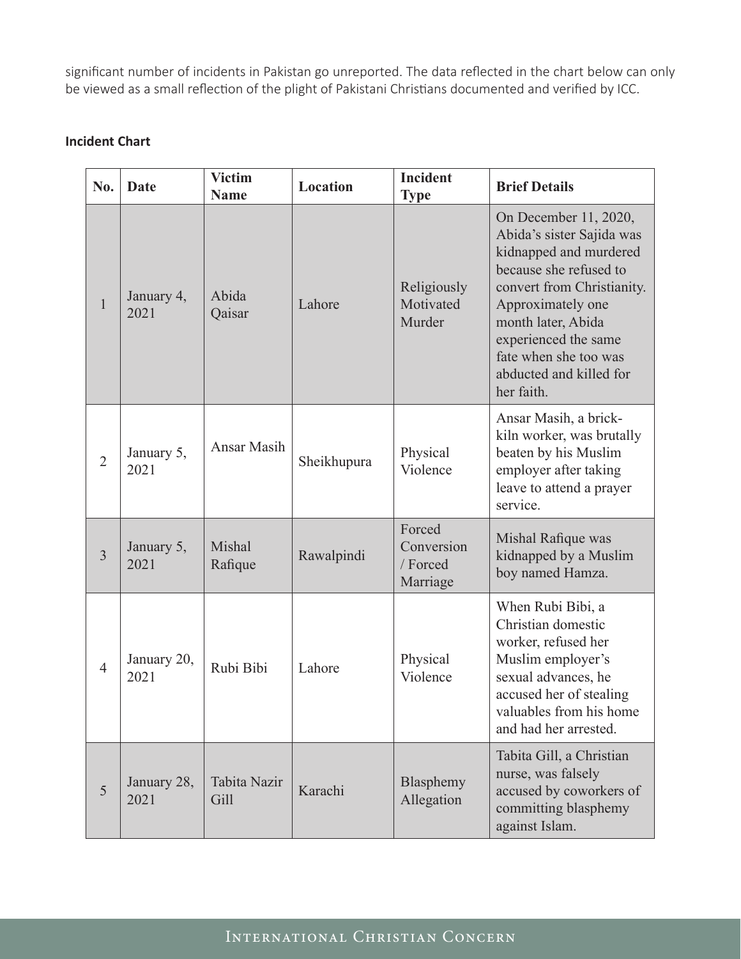significant number of incidents in Pakistan go unreported. The data reflected in the chart below can only be viewed as a small reflection of the plight of Pakistani Christians documented and verified by ICC.

#### **Incident Chart**

| No.            | <b>Date</b>         | <b>Victim</b><br><b>Name</b> | Location    | <b>Incident</b><br><b>Type</b>               | <b>Brief Details</b>                                                                                                                                                                                                                                                      |
|----------------|---------------------|------------------------------|-------------|----------------------------------------------|---------------------------------------------------------------------------------------------------------------------------------------------------------------------------------------------------------------------------------------------------------------------------|
| $\mathbf{1}$   | January 4,<br>2021  | Abida<br>Qaisar              | Lahore      | Religiously<br>Motivated<br>Murder           | On December 11, 2020,<br>Abida's sister Sajida was<br>kidnapped and murdered<br>because she refused to<br>convert from Christianity.<br>Approximately one<br>month later, Abida<br>experienced the same<br>fate when she too was<br>abducted and killed for<br>her faith. |
| $\overline{2}$ | January 5,<br>2021  | Ansar Masih                  | Sheikhupura | Physical<br>Violence                         | Ansar Masih, a brick-<br>kiln worker, was brutally<br>beaten by his Muslim<br>employer after taking<br>leave to attend a prayer<br>service.                                                                                                                               |
| 3              | January 5,<br>2021  | Mishal<br>Rafique            | Rawalpindi  | Forced<br>Conversion<br>/ Forced<br>Marriage | Mishal Rafique was<br>kidnapped by a Muslim<br>boy named Hamza.                                                                                                                                                                                                           |
| $\overline{4}$ | January 20,<br>2021 | Rubi Bibi                    | Lahore      | Physical<br>Violence                         | When Rubi Bibi, a<br>Christian domestic<br>worker, refused her<br>Muslim employer's<br>sexual advances, he<br>accused her of stealing<br>valuables from his home<br>and had her arrested.                                                                                 |
| 5              | January 28,<br>2021 | Tabita Nazir<br>Gill         | Karachi     | Blasphemy<br>Allegation                      | Tabita Gill, a Christian<br>nurse, was falsely<br>accused by coworkers of<br>committing blasphemy<br>against Islam.                                                                                                                                                       |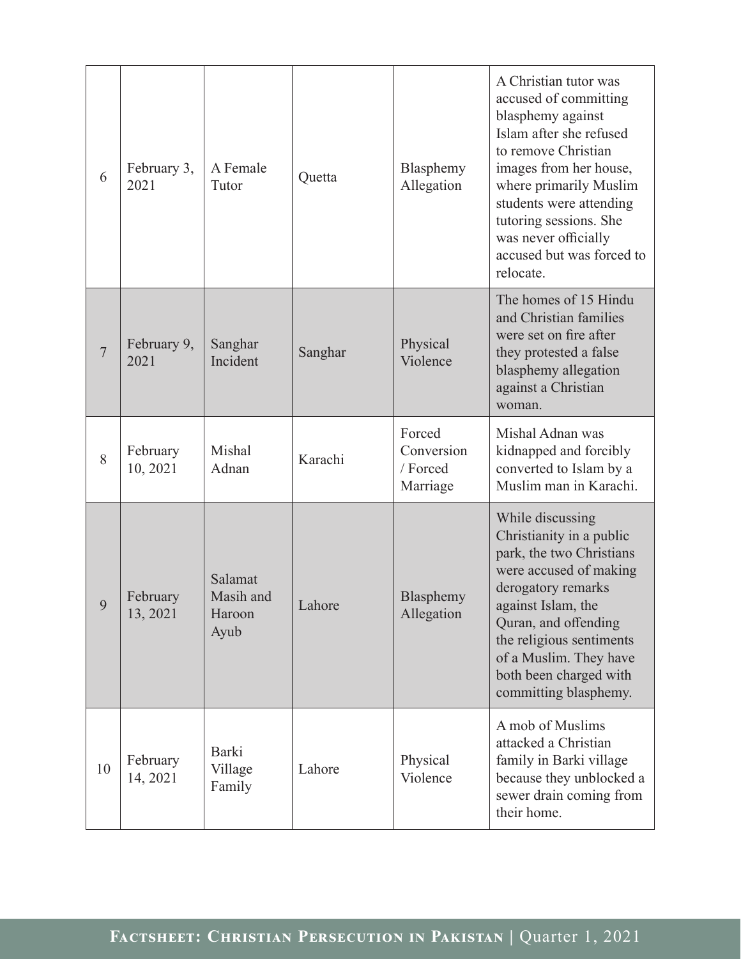| 6              | February 3,<br>2021  | A Female<br>Tutor                      | Quetta  | Blasphemy<br>Allegation                      | A Christian tutor was<br>accused of committing<br>blasphemy against<br>Islam after she refused<br>to remove Christian<br>images from her house,<br>where primarily Muslim<br>students were attending<br>tutoring sessions. She<br>was never officially<br>accused but was forced to<br>relocate. |
|----------------|----------------------|----------------------------------------|---------|----------------------------------------------|--------------------------------------------------------------------------------------------------------------------------------------------------------------------------------------------------------------------------------------------------------------------------------------------------|
| $\overline{7}$ | February 9,<br>2021  | Sanghar<br>Incident                    | Sanghar | Physical<br>Violence                         | The homes of 15 Hindu<br>and Christian families<br>were set on fire after<br>they protested a false<br>blasphemy allegation<br>against a Christian<br>woman.                                                                                                                                     |
| 8              | February<br>10, 2021 | Mishal<br>Adnan                        | Karachi | Forced<br>Conversion<br>/ Forced<br>Marriage | Mishal Adnan was<br>kidnapped and forcibly<br>converted to Islam by a<br>Muslim man in Karachi.                                                                                                                                                                                                  |
| 9              | February<br>13, 2021 | Salamat<br>Masih and<br>Haroon<br>Ayub | Lahore  | Blasphemy<br>Allegation                      | While discussing<br>Christianity in a public<br>park, the two Christians<br>were accused of making<br>derogatory remarks<br>against Islam, the<br>Quran, and offending<br>the religious sentiments<br>of a Muslim. They have<br>both been charged with<br>committing blasphemy.                  |
| 10             | February<br>14, 2021 | Barki<br>Village<br>Family             | Lahore  | Physical<br>Violence                         | A mob of Muslims<br>attacked a Christian<br>family in Barki village<br>because they unblocked a<br>sewer drain coming from<br>their home.                                                                                                                                                        |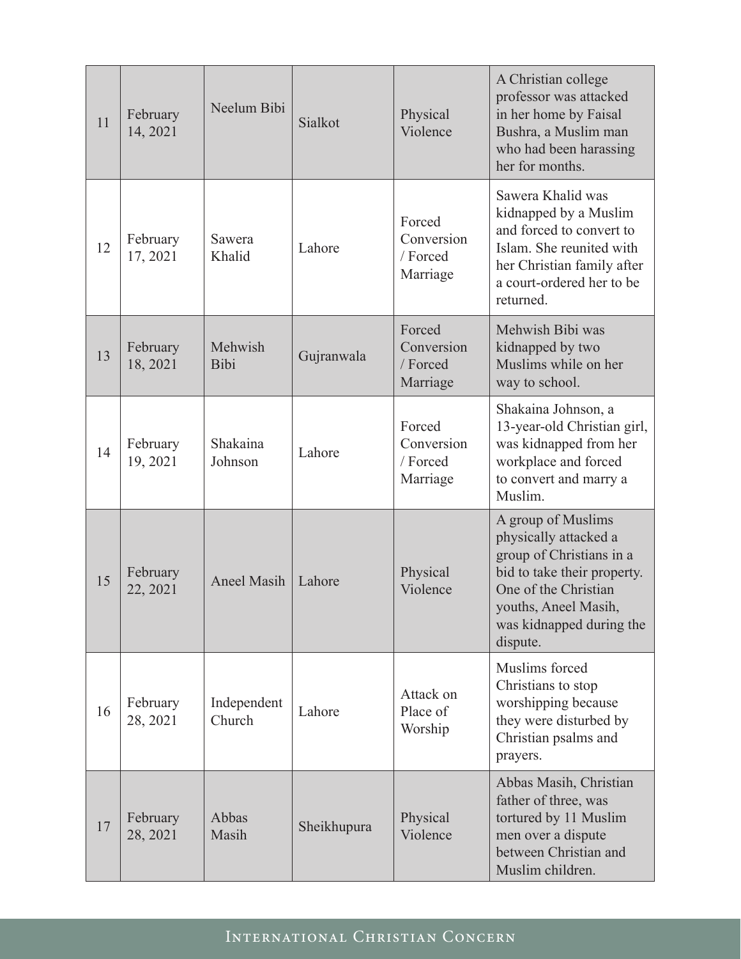| 11 | February<br>14, 2021 | Neelum Bibi            | Sialkot     | Physical<br>Violence                         | A Christian college<br>professor was attacked<br>in her home by Faisal<br>Bushra, a Muslim man<br>who had been harassing<br>her for months.                                                    |
|----|----------------------|------------------------|-------------|----------------------------------------------|------------------------------------------------------------------------------------------------------------------------------------------------------------------------------------------------|
| 12 | February<br>17, 2021 | Sawera<br>Khalid       | Lahore      | Forced<br>Conversion<br>/ Forced<br>Marriage | Sawera Khalid was<br>kidnapped by a Muslim<br>and forced to convert to<br>Islam. She reunited with<br>her Christian family after<br>a court-ordered her to be<br>returned.                     |
| 13 | February<br>18, 2021 | Mehwish<br><b>Bibi</b> | Gujranwala  | Forced<br>Conversion<br>/ Forced<br>Marriage | Mehwish Bibi was<br>kidnapped by two<br>Muslims while on her<br>way to school.                                                                                                                 |
| 14 | February<br>19, 2021 | Shakaina<br>Johnson    | Lahore      | Forced<br>Conversion<br>/ Forced<br>Marriage | Shakaina Johnson, a<br>13-year-old Christian girl,<br>was kidnapped from her<br>workplace and forced<br>to convert and marry a<br>Muslim.                                                      |
| 15 | February<br>22, 2021 | <b>Aneel Masih</b>     | Lahore      | Physical<br>Violence                         | A group of Muslims<br>physically attacked a<br>group of Christians in a<br>bid to take their property.<br>One of the Christian<br>youths, Aneel Masih,<br>was kidnapped during the<br>dispute. |
| 16 | February<br>28, 2021 | Independent<br>Church  | Lahore      | Attack on<br>Place of<br>Worship             | Muslims forced<br>Christians to stop<br>worshipping because<br>they were disturbed by<br>Christian psalms and<br>prayers.                                                                      |
| 17 | February<br>28, 2021 | Abbas<br>Masih         | Sheikhupura | Physical<br>Violence                         | Abbas Masih, Christian<br>father of three, was<br>tortured by 11 Muslim<br>men over a dispute<br>between Christian and<br>Muslim children.                                                     |

### **INTERNATIONAL CHRISTIAN CONCERN**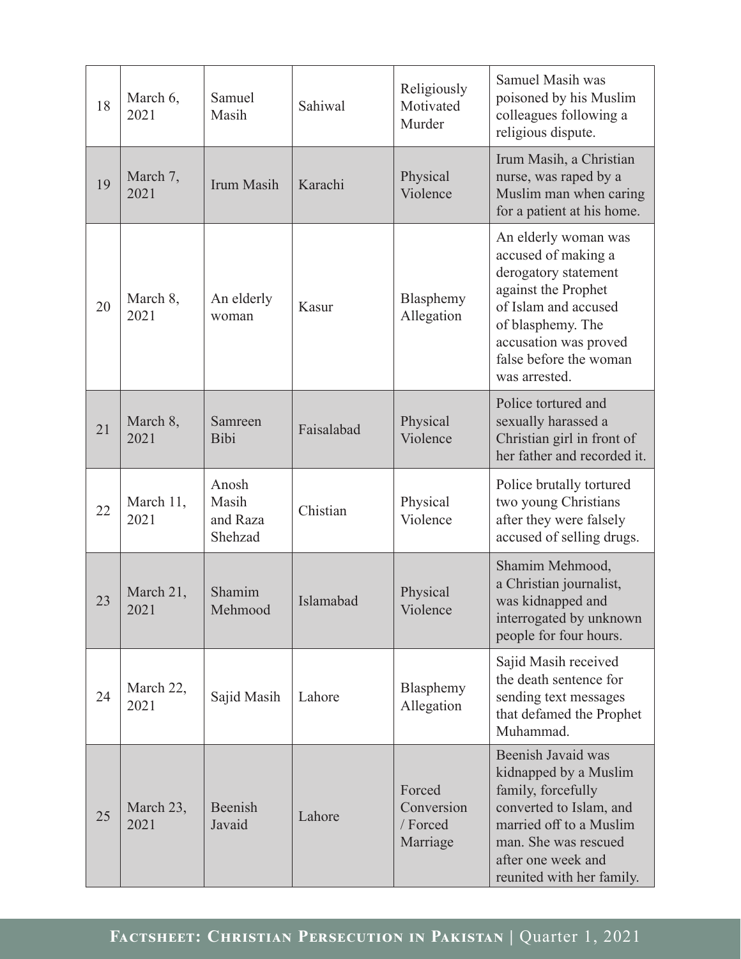| 18 | March 6,<br>2021  | Samuel<br>Masih                       | Sahiwal    | Religiously<br>Motivated<br>Murder           | Samuel Masih was<br>poisoned by his Muslim<br>colleagues following a<br>religious dispute.                                                                                                                  |
|----|-------------------|---------------------------------------|------------|----------------------------------------------|-------------------------------------------------------------------------------------------------------------------------------------------------------------------------------------------------------------|
| 19 | March 7,<br>2021  | Irum Masih                            | Karachi    | Physical<br>Violence                         | Irum Masih, a Christian<br>nurse, was raped by a<br>Muslim man when caring<br>for a patient at his home.                                                                                                    |
| 20 | March 8,<br>2021  | An elderly<br>woman                   | Kasur      | Blasphemy<br>Allegation                      | An elderly woman was<br>accused of making a<br>derogatory statement<br>against the Prophet<br>of Islam and accused<br>of blasphemy. The<br>accusation was proved<br>false before the woman<br>was arrested. |
| 21 | March 8,<br>2021  | Samreen<br><b>Bibi</b>                | Faisalabad | Physical<br>Violence                         | Police tortured and<br>sexually harassed a<br>Christian girl in front of<br>her father and recorded it.                                                                                                     |
| 22 | March 11,<br>2021 | Anosh<br>Masih<br>and Raza<br>Shehzad | Chistian   | Physical<br>Violence                         | Police brutally tortured<br>two young Christians<br>after they were falsely<br>accused of selling drugs.                                                                                                    |
| 23 | March 21,<br>2021 | Shamim<br>Mehmood                     | Islamabad  | Physical<br>Violence                         | Shamim Mehmood,<br>a Christian journalist,<br>was kidnapped and<br>interrogated by unknown<br>people for four hours.                                                                                        |
| 24 | March 22,<br>2021 | Sajid Masih                           | Lahore     | Blasphemy<br>Allegation                      | Sajid Masih received<br>the death sentence for<br>sending text messages<br>that defamed the Prophet<br>Muhammad.                                                                                            |
| 25 | March 23,<br>2021 | Beenish<br>Javaid                     | Lahore     | Forced<br>Conversion<br>/ Forced<br>Marriage | Beenish Javaid was<br>kidnapped by a Muslim<br>family, forcefully<br>converted to Islam, and<br>married off to a Muslim<br>man. She was rescued<br>after one week and<br>reunited with her family.          |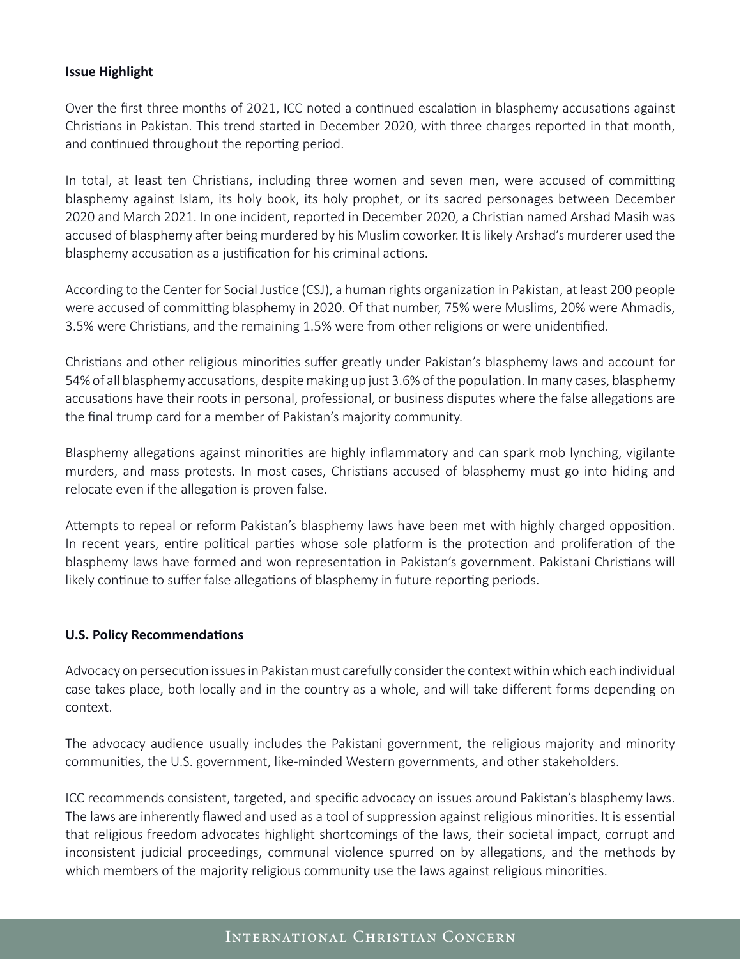#### **Issue Highlight**

Over the first three months of 2021, ICC noted a continued escalation in blasphemy accusations against Christians in Pakistan. This trend started in December 2020, with three charges reported in that month, and continued throughout the reporting period.

In total, at least ten Christians, including three women and seven men, were accused of committing blasphemy against Islam, its holy book, its holy prophet, or its sacred personages between December 2020 and March 2021. In one incident, reported in December 2020, a Christian named Arshad Masih was accused of blasphemy after being murdered by his Muslim coworker. It is likely Arshad's murderer used the blasphemy accusation as a justification for his criminal actions.

According to the Center for Social Justice (CSJ), a human rights organization in Pakistan, at least 200 people were accused of committing blasphemy in 2020. Of that number, 75% were Muslims, 20% were Ahmadis, 3.5% were Christians, and the remaining 1.5% were from other religions or were unidentified.

Christians and other religious minorities suffer greatly under Pakistan's blasphemy laws and account for 54% of all blasphemy accusations, despite making up just 3.6% of the population. In many cases, blasphemy accusations have their roots in personal, professional, or business disputes where the false allegations are the final trump card for a member of Pakistan's majority community.

Blasphemy allegations against minorities are highly inflammatory and can spark mob lynching, vigilante murders, and mass protests. In most cases, Christians accused of blasphemy must go into hiding and relocate even if the allegation is proven false.

Attempts to repeal or reform Pakistan's blasphemy laws have been met with highly charged opposition. In recent years, entire political parties whose sole platform is the protection and proliferation of the blasphemy laws have formed and won representation in Pakistan's government. Pakistani Christians will likely continue to suffer false allegations of blasphemy in future reporting periods.

#### **U.S. Policy Recommendations**

Advocacy on persecution issues in Pakistan must carefully consider the context within which each individual case takes place, both locally and in the country as a whole, and will take different forms depending on context.

The advocacy audience usually includes the Pakistani government, the religious majority and minority communities, the U.S. government, like-minded Western governments, and other stakeholders.

ICC recommends consistent, targeted, and specific advocacy on issues around Pakistan's blasphemy laws. The laws are inherently flawed and used as a tool of suppression against religious minorities. It is essential that religious freedom advocates highlight shortcomings of the laws, their societal impact, corrupt and inconsistent judicial proceedings, communal violence spurred on by allegations, and the methods by which members of the majority religious community use the laws against religious minorities.

#### **INTERNATIONAL CHRISTIAN CONCERN**